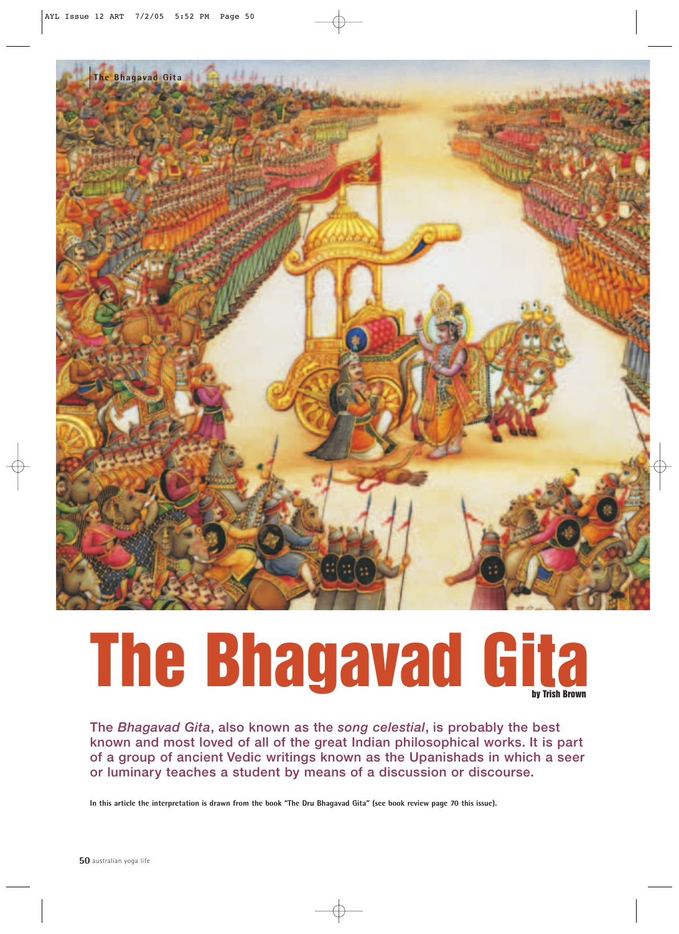

# **The Bhagavad Gita**

**The** *Bhagavad Gita***, also known as the** *song celestial***, is probably the best known and most loved of all of the great Indian philosophical works. It is part of a group of ancient Vedic writings known as the Upanishads in which a seer or luminary teaches a student by means of a discussion or discourse.**

**In this article the interpretation is drawn from the book "The Dru Bhagavad Gita" (see book review page 70 this issue).**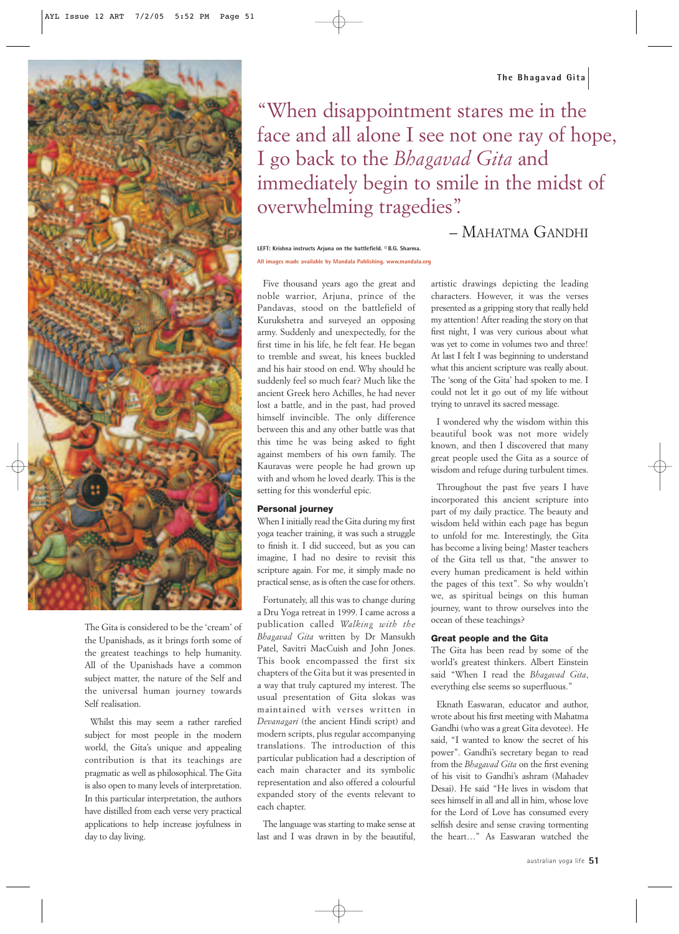

The Gita is considered to be the 'cream' of the Upanishads, as it brings forth some of the greatest teachings to help humanity. All of the Upanishads have a common subject matter, the nature of the Self and the universal human journey towards Self realisation.

Whilst this may seem a rather rarefied subject for most people in the modern world, the Gita's unique and appealing contribution is that its teachings are pragmatic as well as philosophical. The Gita is also open to many levels of interpretation. In this particular interpretation, the authors have distilled from each verse very practical applications to help increase joyfulness in day to day living.

**The Bhagavad Gita**

"When disappointment stares me in the face and all alone I see not one ray of hope, I go back to the *Bhagavad Gita* and immediately begin to smile in the midst of overwhelming tragedies".

### – MAHATMA GANDHI

**LEFT: Krishna instructs Arjuna on the battlefield. © B.G. Sharma. All images made available by Mandala Publishing. www.mandala.org**

Five thousand years ago the great and noble warrior, Arjuna, prince of the Pandavas, stood on the battlefield of Kurukshetra and surveyed an opposing army. Suddenly and unexpectedly, for the first time in his life, he felt fear. He began to tremble and sweat, his knees buckled and his hair stood on end. Why should he suddenly feel so much fear? Much like the ancient Greek hero Achilles, he had never lost a battle, and in the past, had proved himself invincible. The only difference between this and any other battle was that this time he was being asked to fight against members of his own family. The Kauravas were people he had grown up with and whom he loved dearly. This is the setting for this wonderful epic.

#### **Personal journey**

When I initially read the Gita during my first yoga teacher training, it was such a struggle to finish it. I did succeed, but as you can imagine, I had no desire to revisit this scripture again. For me, it simply made no practical sense, as is often the case for others.

Fortunately, all this was to change during a Dru Yoga retreat in 1999. I came across a publication called *Walking with the Bhagavad Gita* written by Dr Mansukh Patel, Savitri MacCuish and John Jones. This book encompassed the first six chapters of the Gita but it was presented in a way that truly captured my interest. The usual presentation of Gita slokas was maintained with verses written in *Devanagari* (the ancient Hindi script) and modern scripts, plus regular accompanying translations. The introduction of this particular publication had a description of each main character and its symbolic representation and also offered a colourful expanded story of the events relevant to each chapter.

The language was starting to make sense at last and I was drawn in by the beautiful,

artistic drawings depicting the leading characters. However, it was the verses presented as a gripping story that really held my attention! After reading the story on that first night, I was very curious about what was yet to come in volumes two and three! At last I felt I was beginning to understand what this ancient scripture was really about. The 'song of the Gita' had spoken to me. I could not let it go out of my life without trying to unravel its sacred message.

I wondered why the wisdom within this beautiful book was not more widely known, and then I discovered that many great people used the Gita as a source of wisdom and refuge during turbulent times.

Throughout the past five years I have incorporated this ancient scripture into part of my daily practice. The beauty and wisdom held within each page has begun to unfold for me. Interestingly, the Gita has become a living being! Master teachers of the Gita tell us that, "the answer to every human predicament is held within the pages of this text". So why wouldn't we, as spiritual beings on this human journey, want to throw ourselves into the ocean of these teachings?

#### **Great people and the Gita**

The Gita has been read by some of the world's greatest thinkers. Albert Einstein said "When I read the *Bhagavad Gita*, everything else seems so superfluous."

Eknath Easwaran, educator and author, wrote about his first meeting with Mahatma Gandhi (who was a great Gita devotee). He said, "I wanted to know the secret of his power". Gandhi's secretary began to read from the *Bhagavad Gita* on the first evening of his visit to Gandhi's ashram (Mahadev Desai). He said "He lives in wisdom that sees himself in all and all in him, whose love for the Lord of Love has consumed every selfish desire and sense craving tormenting the heart…" As Easwaran watched the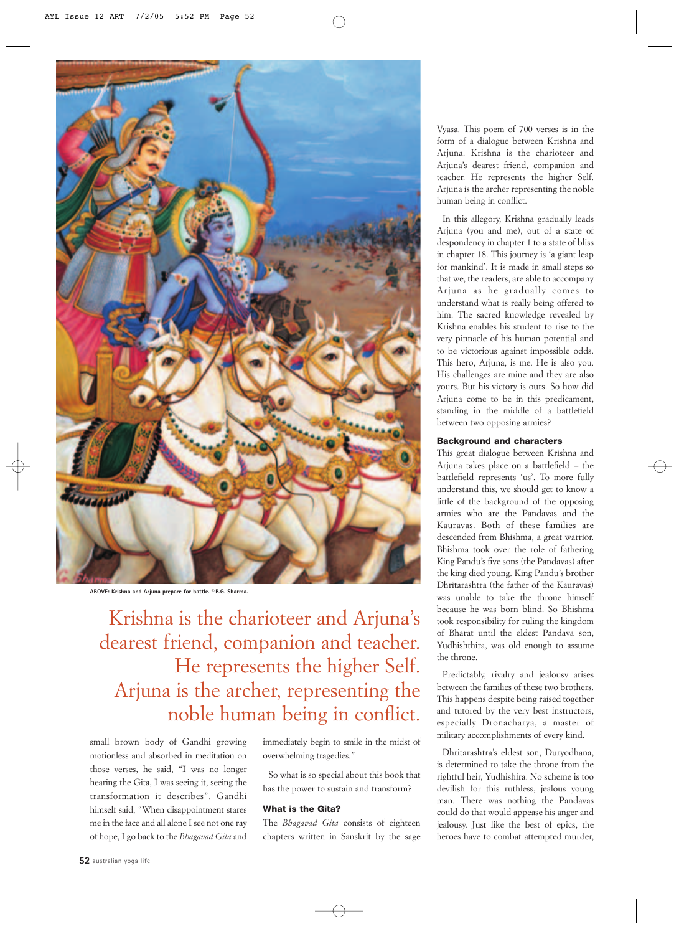

**ABOVE: Krishna and Arjuna prepare for battle. © B.G. Sharma.**

Krishna is the charioteer and Arjuna's dearest friend, companion and teacher. He represents the higher Self. Arjuna is the archer, representing the noble human being in conflict.

small brown body of Gandhi growing motionless and absorbed in meditation on those verses, he said, "I was no longer hearing the Gita, I was seeing it, seeing the transformation it describes". Gandhi himself said, "When disappointment stares me in the face and all alone I see not one ray of hope, I go back to the *Bhagavad Gita* and immediately begin to smile in the midst of overwhelming tragedies."

So what is so special about this book that has the power to sustain and transform?

#### **What is the Gita?**

The *Bhagavad Gita* consists of eighteen chapters written in Sanskrit by the sage

Vyasa. This poem of 700 verses is in the form of a dialogue between Krishna and Arjuna. Krishna is the charioteer and Arjuna's dearest friend, companion and teacher. He represents the higher Self. Arjuna is the archer representing the noble human being in conflict.

In this allegory, Krishna gradually leads Arjuna (you and me), out of a state of despondency in chapter 1 to a state of bliss in chapter 18. This journey is 'a giant leap for mankind'. It is made in small steps so that we, the readers, are able to accompany Arjuna as he gradually comes to understand what is really being offered to him. The sacred knowledge revealed by Krishna enables his student to rise to the very pinnacle of his human potential and to be victorious against impossible odds. This hero, Arjuna, is me. He is also you. His challenges are mine and they are also yours. But his victory is ours. So how did Arjuna come to be in this predicament, standing in the middle of a battlefield between two opposing armies?

#### **Background and characters**

This great dialogue between Krishna and Arjuna takes place on a battlefield – the battlefield represents 'us'. To more fully understand this, we should get to know a little of the background of the opposing armies who are the Pandavas and the Kauravas. Both of these families are descended from Bhishma, a great warrior. Bhishma took over the role of fathering King Pandu's five sons (the Pandavas) after the king died young. King Pandu's brother Dhritarashtra (the father of the Kauravas) was unable to take the throne himself because he was born blind. So Bhishma took responsibility for ruling the kingdom of Bharat until the eldest Pandava son, Yudhishthira, was old enough to assume the throne.

Predictably, rivalry and jealousy arises between the families of these two brothers. This happens despite being raised together and tutored by the very best instructors, especially Dronacharya, a master of military accomplishments of every kind.

Dhritarashtra's eldest son, Duryodhana, is determined to take the throne from the rightful heir, Yudhishira. No scheme is too devilish for this ruthless, jealous young man. There was nothing the Pandavas could do that would appease his anger and jealousy. Just like the best of epics, the heroes have to combat attempted murder,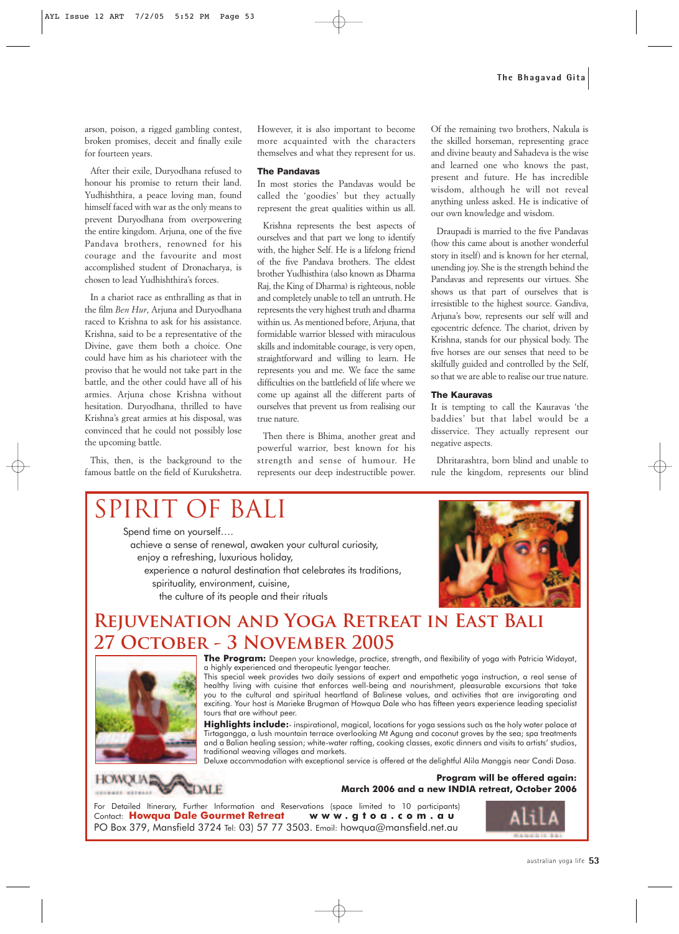arson, poison, a rigged gambling contest, broken promises, deceit and finally exile for fourteen years.

After their exile, Duryodhana refused to honour his promise to return their land. Yudhishthira, a peace loving man, found himself faced with war as the only means to prevent Duryodhana from overpowering the entire kingdom. Arjuna, one of the five Pandava brothers, renowned for his courage and the favourite and most accomplished student of Dronacharya, is chosen to lead Yudhishthira's forces.

In a chariot race as enthralling as that in the film *Ben Hur*, Arjuna and Duryodhana raced to Krishna to ask for his assistance. Krishna, said to be a representative of the Divine, gave them both a choice. One could have him as his charioteer with the proviso that he would not take part in the battle, and the other could have all of his armies. Arjuna chose Krishna without hesitation. Duryodhana, thrilled to have Krishna's great armies at his disposal, was convinced that he could not possibly lose the upcoming battle.

This, then, is the background to the famous battle on the field of Kurukshetra.

However, it is also important to become more acquainted with the characters themselves and what they represent for us.

#### **The Pandavas**

In most stories the Pandavas would be called the 'goodies' but they actually represent the great qualities within us all.

Krishna represents the best aspects of ourselves and that part we long to identify with, the higher Self. He is a lifelong friend of the five Pandava brothers. The eldest brother Yudhisthira (also known as Dharma Raj, the King of Dharma) is righteous, noble and completely unable to tell an untruth. He represents the very highest truth and dharma within us. As mentioned before, Arjuna, that formidable warrior blessed with miraculous skills and indomitable courage, is very open, straightforward and willing to learn. He represents you and me. We face the same difficulties on the battlefield of life where we come up against all the different parts of ourselves that prevent us from realising our true nature.

Then there is Bhima, another great and powerful warrior, best known for his strength and sense of humour. He represents our deep indestructible power.

Of the remaining two brothers, Nakula is the skilled horseman, representing grace and divine beauty and Sahadeva is the wise and learned one who knows the past, present and future. He has incredible wisdom, although he will not reveal anything unless asked. He is indicative of our own knowledge and wisdom.

Draupadi is married to the five Pandavas (how this came about is another wonderful story in itself) and is known for her eternal, unending joy. She is the strength behind the Pandavas and represents our virtues. She shows us that part of ourselves that is irresistible to the highest source. Gandiva, Arjuna's bow, represents our self will and egocentric defence. The chariot, driven by Krishna, stands for our physical body. The five horses are our senses that need to be skilfully guided and controlled by the Self, so that we are able to realise our true nature.

#### **The Kauravas**

It is tempting to call the Kauravas 'the baddies' but that label would be a disservice. They actually represent our negative aspects.

Dhritarashtra, born blind and unable to rule the kingdom, represents our blind

## SPIRIT OF BALI

Spend time on yourself....

achieve a sense of renewal, awaken your cultural curiosity, enjoy a refreshing, luxurious holiday, experience a natural destination that celebrates its traditions, spirituality, environment, cuisine, the culture of its people and their rituals



## **REJUVENATION AND YOGA RETREAT IN EAST BALI** 27 OCTOBER - 3 NOVEMBER 2005



The Program: Deepen your knowledge, practice, strength, and flexibility of yoga with Patricia Widayat, a highly experienced and therapeutic lyengar teacher.

This special week provides two daily sessions of expert and empathetic yoga instruction, a real sense of healthy living with cuisine that enforces well-being and nourishment, pleasurable excursions that take you to the cultural and spiritual heartland of Balinese values, and activities that are invigorating and exciting. Your host is Marieke Brugman of Howqua Dale who has fifteen years experience leading specialist tours that are without peer.

Highlights include:- inspirational, magical, locations for yoga sessions such as the holy water palace at Tirtagangga, a lush mountain terrace overlooking Mt Agung and coconut groves by the sea; spa treatments and a Balian healing session; white-water rafting, cooking classes, exotic dinners and visits to artists' studios, traditional weaving villages and markets.

Deluxe accommodation with exceptional service is offered at the delightful Alila Manggis near Candi Dasa.

**HOWQUA** CDALE er errein

**Program will be offered again: March 2006 and a new INDIA retreat, October 2006** 

For Detailed Itinerary, Further Information and Reservations (space limited to 10 participants)<br>Contact: Howqua Dale Gourmet Retreat www.gtoa.com.au Contact: Howqua Dale Gourmet Retreat PO Box 379, Mansfield 3724 Tel: 03) 57 77 3503. Email: howqua@mansfield.net.au